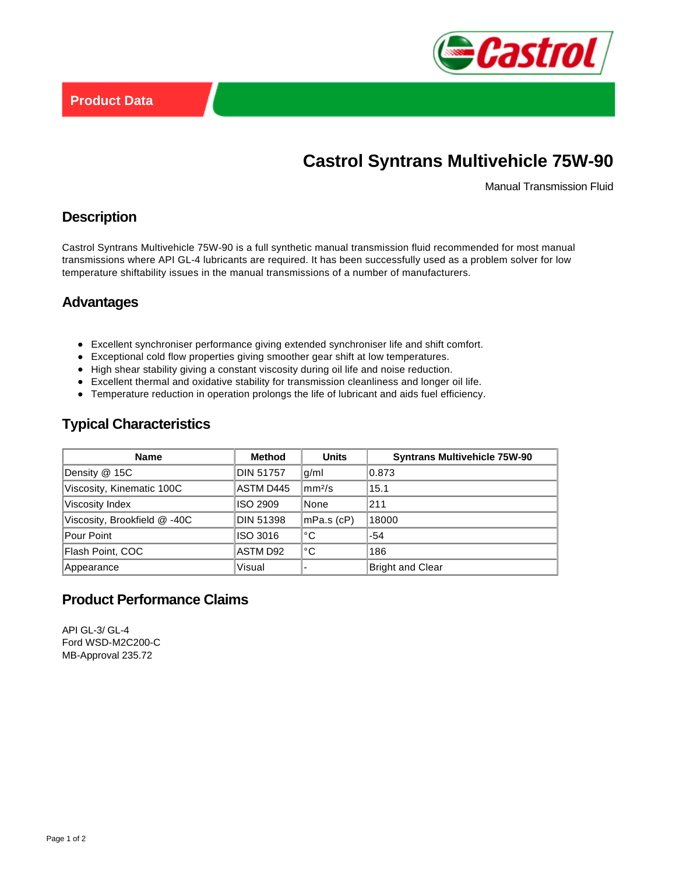

# **Castrol Syntrans Multivehicle 75W-90**

Manual Transmission Fluid

## **Description**

Castrol Syntrans Multivehicle 75W-90 is a full synthetic manual transmission fluid recommended for most manual transmissions where API GL-4 lubricants are required. It has been successfully used as a problem solver for low temperature shiftability issues in the manual transmissions of a number of manufacturers.

#### **Advantages**

- Excellent synchroniser performance giving extended synchroniser life and shift comfort.
- Exceptional cold flow properties giving smoother gear shift at low temperatures.
- High shear stability giving a constant viscosity during oil life and noise reduction.
- Excellent thermal and oxidative stability for transmission cleanliness and longer oil life.
- Temperature reduction in operation prolongs the life of lubricant and aids fuel efficiency.

# **Typical Characteristics**

| <b>Name</b>                 | Method           | <b>Units</b>       | <b>Syntrans Multivehicle 75W-90</b> |
|-----------------------------|------------------|--------------------|-------------------------------------|
| Density @ 15C               | DIN 51757        | q/ml               | 0.873                               |
| Viscosity, Kinematic 100C   | ASTM D445        | mm <sup>2</sup> /s | 15.1                                |
| Viscosity Index             | <b>ISO 2909</b>  | None               | 211                                 |
| Viscosity, Brookfield @-40C | <b>DIN 51398</b> | mPa.s (cP)         | 18000                               |
| <b>Pour Point</b>           | ISO 3016         | °C                 | $-54$                               |
| Flash Point, COC            | ASTM D92         | °C                 | 186                                 |
| Appearance                  | Visual           |                    | <b>Bright and Clear</b>             |

# **Product Performance Claims**

API GL-3/ GL-4 Ford WSD-M2C200-C MB-Approval 235.72